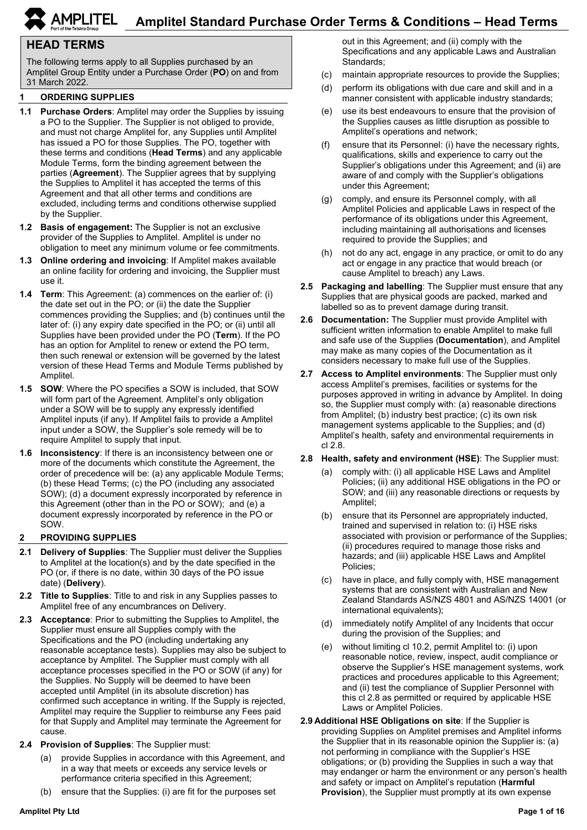# **HEAD TERMS**

The following terms apply to all Supplies purchased by an Amplitel Group Entity under a Purchase Order (**PO**) on and from 31 March 2022.

#### **1 ORDERING SUPPLIES**

- <span id="page-0-5"></span>**1.1 Purchase Orders**: Amplitel may order the Supplies by issuing a PO to the Supplier. The Supplier is not obliged to provide, and must not charge Amplitel for, any Supplies until Amplitel has issued a PO for those Supplies. The PO, together with these terms and conditions (**Head Terms**) and any applicable Module Terms, form the binding agreement between the parties (**Agreement**). The Supplier agrees that by supplying the Supplies to Amplitel it has accepted the terms of this Agreement and that all other terms and conditions are excluded, including terms and conditions otherwise supplied by the Supplier.
- **1.2 Basis of engagement:** The Supplier is not an exclusive provider of the Supplies to Amplitel. Amplitel is under no obligation to meet any minimum volume or fee commitments.
- **1.3 Online ordering and invoicing**: If Amplitel makes available an online facility for ordering and invoicing, the Supplier must use it.
- <span id="page-0-4"></span>**1.4 Term**: This Agreement: (a) commences on the earlier of: (i) the date set out in the PO; or (ii) the date the Supplier commences providing the Supplies; and (b) continues until the later of: (i) any expiry date specified in the PO; or (ii) until all Supplies have been provided under the PO (**Term**). If the PO has an option for Amplitel to renew or extend the PO term, then such renewal or extension will be governed by the latest version of these Head Terms and Module Terms published by Amplitel.
- **1.5 SOW**: Where the PO specifies a SOW is included, that SOW will form part of the Agreement. Amplitel's only obligation under a SOW will be to supply any expressly identified Amplitel inputs (if any). If Amplitel fails to provide a Amplitel input under a SOW, the Supplier's sole remedy will be to require Amplitel to supply that input.
- **1.6 Inconsistency**: If there is an inconsistency between one or more of the documents which constitute the Agreement, the order of precedence will be: (a) any applicable Module Terms; (b) these Head Terms; (c) the PO (including any associated SOW); (d) a document expressly incorporated by reference in this Agreement (other than in the PO or SOW); and (e) a document expressly incorporated by reference in the PO or SOW.

#### <span id="page-0-1"></span>**2 PROVIDING SUPPLIES**

- <span id="page-0-6"></span>**2.1 Delivery of Supplies**: The Supplier must deliver the Supplies to Amplitel at the location(s) and by the date specified in the PO (or, if there is no date, within 30 days of the PO issue date) (**Delivery**).
- **2.2 Title to Supplies**: Title to and risk in any Supplies passes to Amplitel free of any encumbrances on Delivery.
- **2.3 Acceptance**: Prior to submitting the Supplies to Amplitel, the Supplier must ensure all Supplies comply with the Specifications and the PO (including undertaking any reasonable acceptance tests). Supplies may also be subject to acceptance by Amplitel. The Supplier must comply with all acceptance processes specified in the PO or SOW (if any) for the Supplies. No Supply will be deemed to have been accepted until Amplitel (in its absolute discretion) has confirmed such acceptance in writing. If the Supply is rejected, Amplitel may require the Supplier to reimburse any Fees paid for that Supply and Amplitel may terminate the Agreement for cause.
- **2.4 Provision of Supplies**: The Supplier must:
	- (a) provide Supplies in accordance with this Agreement, and in a way that meets or exceeds any service levels or performance criteria specified in this Agreement;
	- (b) ensure that the Supplies: (i) are fit for the purposes set

out in this Agreement; and (ii) comply with the Specifications and any applicable Laws and Australian Standards;

- (c) maintain appropriate resources to provide the Supplies;
- (d) perform its obligations with due care and skill and in a manner consistent with applicable industry standards;
- (e) use its best endeavours to ensure that the provision of the Supplies causes as little disruption as possible to Amplitel's operations and network;
- (f) ensure that its Personnel: (i) have the necessary rights, qualifications, skills and experience to carry out the Supplier's obligations under this Agreement; and (ii) are aware of and comply with the Supplier's obligations under this Agreement;
- <span id="page-0-2"></span>(g) comply, and ensure its Personnel comply, with all Amplitel Policies and applicable Laws in respect of the performance of its obligations under this Agreement, including maintaining all authorisations and licenses required to provide the Supplies; and
- <span id="page-0-3"></span>(h) not do any act, engage in any practice, or omit to do any act or engage in any practice that would breach (or cause Amplitel to breach) any Laws.
- **2.5 Packaging and labelling**: The Supplier must ensure that any Supplies that are physical goods are packed, marked and labelled so as to prevent damage during transit.
- <span id="page-0-7"></span>**2.6 Documentation:** The Supplier must provide Amplitel with sufficient written information to enable Amplitel to make full and safe use of the Supplies (**Documentation**), and Amplitel may make as many copies of the Documentation as it considers necessary to make full use of the Supplies.
- **2.7 Access to Amplitel environments**: The Supplier must only access Amplitel's premises, facilities or systems for the purposes approved in writing in advance by Amplitel. In doing so, the Supplier must comply with: (a) reasonable directions from Amplitel; (b) industry best practice; (c) its own risk management systems applicable to the Supplies; and (d) Amplitel's health, safety and environmental requirements in cl [2.8.](#page-0-0)
- <span id="page-0-0"></span>**2.8 Health, safety and environment (HSE)**: The Supplier must:
	- (a) comply with: (i) all applicable HSE Laws and Amplitel Policies; (ii) any additional HSE obligations in the PO or SOW; and (iii) any reasonable directions or requests by Amplitel;
	- (b) ensure that its Personnel are appropriately inducted, trained and supervised in relation to: (i) HSE risks associated with provision or performance of the Supplies; (ii) procedures required to manage those risks and hazards; and (iii) applicable HSE Laws and Amplitel Policies;
	- (c) have in place, and fully comply with, HSE management systems that are consistent with Australian and New Zealand Standards AS/NZS 4801 and AS/NZS 14001 (or international equivalents);
	- (d) immediately notify Amplitel of any Incidents that occur during the provision of the Supplies; and
	- (e) without limiting cl [10.2,](#page-4-0) permit Amplitel to: (i) upon reasonable notice, review, inspect, audit compliance or observe the Supplier's HSE management systems, work practices and procedures applicable to this Agreement; and (ii) test the compliance of Supplier Personnel with this cl [2.8](#page-0-0) as permitted or required by applicable HSE Laws or Amplitel Policies.
- <span id="page-0-8"></span>**2.9 Additional HSE Obligations on site**: If the Supplier is providing Supplies on Amplitel premises and Amplitel informs the Supplier that in its reasonable opinion the Supplier is: (a) not performing in compliance with the Supplier's HSE obligations; or (b) providing the Supplies in such a way that may endanger or harm the environment or any person's health and safety or impact on Amplitel's reputation (**Harmful Provision**), the Supplier must promptly at its own expense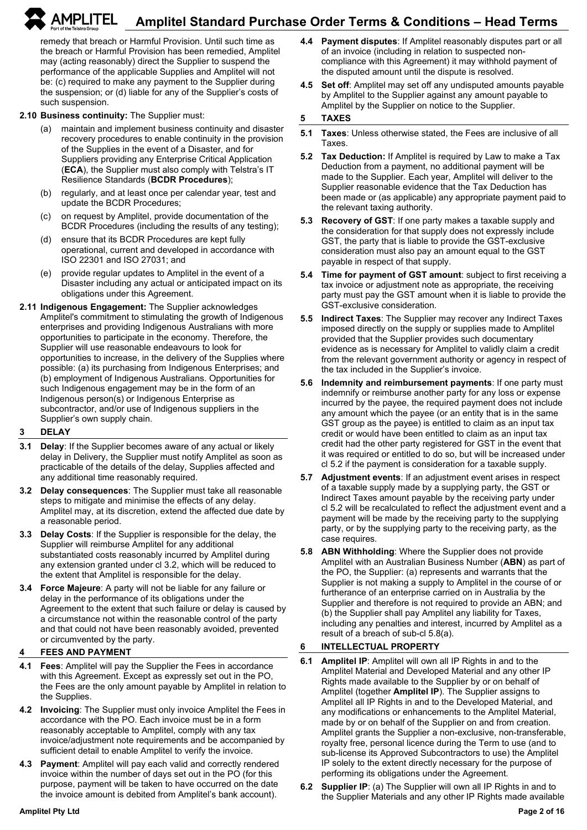remedy that breach or Harmful Provision. Until such time as the breach or Harmful Provision has been remedied, Amplitel may (acting reasonably) direct the Supplier to suspend the performance of the applicable Supplies and Amplitel will not be: (c) required to make any payment to the Supplier during the suspension; or (d) liable for any of the Supplier's costs of such suspension.

#### <span id="page-1-6"></span>**2.10 Business continuity:** The Supplier must:

- (a) maintain and implement business continuity and disaster recovery procedures to enable continuity in the provision of the Supplies in the event of a Disaster, and for Suppliers providing any Enterprise Critical Application (**ECA**), the Supplier must also comply with Telstra's IT Resilience Standards (**BCDR Procedures**);
- (b) regularly, and at least once per calendar year, test and update the BCDR Procedures;
- (c) on request by Amplitel, provide documentation of the BCDR Procedures (including the results of any testing);
- (d) ensure that its BCDR Procedures are kept fully operational, current and developed in accordance with ISO 22301 and ISO 27031; and
- (e) provide regular updates to Amplitel in the event of a Disaster including any actual or anticipated impact on its obligations under this Agreement.
- **2.11 Indigenous Engagement:** The Supplier acknowledges Amplitel's commitment to stimulating the growth of Indigenous enterprises and providing Indigenous Australians with more opportunities to participate in the economy. Therefore, the Supplier will use reasonable endeavours to look for opportunities to increase, in the delivery of the Supplies where possible: (a) its purchasing from Indigenous Enterprises; and (b) employment of Indigenous Australians. Opportunities for such Indigenous engagement may be in the form of an Indigenous person(s) or Indigenous Enterprise as subcontractor, and/or use of Indigenous suppliers in the Supplier's own supply chain.

#### **3 DELAY**

- **3.1 Delay**: If the Supplier becomes aware of any actual or likely delay in Delivery, the Supplier must notify Amplitel as soon as practicable of the details of the delay, Supplies affected and any additional time reasonably required.
- <span id="page-1-0"></span>**3.2 Delay consequences**: The Supplier must take all reasonable steps to mitigate and minimise the effects of any delay. Amplitel may, at its discretion, extend the affected due date by a reasonable period.
- **3.3 Delay Costs**: If the Supplier is responsible for the delay, the Supplier will reimburse Amplitel for any additional substantiated costs reasonably incurred by Amplitel during any extension granted under c[l 3.2,](#page-1-0) which will be reduced to the extent that Amplitel is responsible for the delay.
- **3.4 Force Majeure**: A party will not be liable for any failure or delay in the performance of its obligations under the Agreement to the extent that such failure or delay is caused by a circumstance not within the reasonable control of the party and that could not have been reasonably avoided, prevented or circumvented by the party.

#### **4 FEES AND PAYMENT**

- **4.1 Fees**: Amplitel will pay the Supplier the Fees in accordance with this Agreement. Except as expressly set out in the PO, the Fees are the only amount payable by Amplitel in relation to the Supplies.
- **4.2 Invoicing**: The Supplier must only invoice Amplitel the Fees in accordance with the PO. Each invoice must be in a form reasonably acceptable to Amplitel, comply with any tax invoice/adjustment note requirements and be accompanied by sufficient detail to enable Amplitel to verify the invoice.
- **4.3 Payment**: Amplitel will pay each valid and correctly rendered invoice within the number of days set out in the PO (for this purpose, payment will be taken to have occurred on the date the invoice amount is debited from Amplitel's bank account).
- **4.4 Payment disputes**: If Amplitel reasonably disputes part or all of an invoice (including in relation to suspected noncompliance with this Agreement) it may withhold payment of the disputed amount until the dispute is resolved.
- **4.5 Set off**: Amplitel may set off any undisputed amounts payable by Amplitel to the Supplier against any amount payable to Amplitel by the Supplier on notice to the Supplier.

#### **5 TAXES**

- **5.1 Taxes**: Unless otherwise stated, the Fees are inclusive of all **Taxes**
- <span id="page-1-1"></span>**5.2 Tax Deduction:** If Amplitel is required by Law to make a Tax Deduction from a payment, no additional payment will be made to the Supplier. Each year, Amplitel will deliver to the Supplier reasonable evidence that the Tax Deduction has been made or (as applicable) any appropriate payment paid to the relevant taxing authority.
- **5.3 Recovery of GST**: If one party makes a taxable supply and the consideration for that supply does not expressly include GST, the party that is liable to provide the GST-exclusive consideration must also pay an amount equal to the GST payable in respect of that supply.
- **5.4 Time for payment of GST amount**: subject to first receiving a tax invoice or adjustment note as appropriate, the receiving party must pay the GST amount when it is liable to provide the GST-exclusive consideration.
- **5.5 Indirect Taxes**: The Supplier may recover any Indirect Taxes imposed directly on the supply or supplies made to Amplitel provided that the Supplier provides such documentary evidence as is necessary for Amplitel to validly claim a credit from the relevant government authority or agency in respect of the tax included in the Supplier's invoice.
- **5.6 Indemnity and reimbursement payments**: If one party must indemnify or reimburse another party for any loss or expense incurred by the payee, the required payment does not include any amount which the payee (or an entity that is in the same GST group as the payee) is entitled to claim as an input tax credit or would have been entitled to claim as an input tax credit had the other party registered for GST in the event that it was required or entitled to do so, but will be increased under cl [5.2](#page-1-1) if the payment is consideration for a taxable supply.
- **5.7 Adjustment events**: If an adjustment event arises in respect of a taxable supply made by a supplying party, the GST or Indirect Taxes amount payable by the receiving party under cl [5.2](#page-1-1) will be recalculated to reflect the adjustment event and a payment will be made by the receiving party to the supplying party, or by the supplying party to the receiving party, as the case requires.
- <span id="page-1-2"></span>**5.8 ABN Withholding**: Where the Supplier does not provide Amplitel with an Australian Business Number (**ABN**) as part of the PO, the Supplier: (a) represents and warrants that the Supplier is not making a supply to Amplitel in the course of or furtherance of an enterprise carried on in Australia by the Supplier and therefore is not required to provide an ABN; and (b) the Supplier shall pay Amplitel any liability for Taxes, including any penalties and interest, incurred by Amplitel as a result of a breach of sub-c[l 5.8\(](#page-1-2)a).

#### <span id="page-1-4"></span>**6 INTELLECTUAL PROPERTY**

- <span id="page-1-5"></span>**6.1 Amplitel IP**: Amplitel will own all IP Rights in and to the Amplitel Material and Developed Material and any other IP Rights made available to the Supplier by or on behalf of Amplitel (together **Amplitel IP**). The Supplier assigns to Amplitel all IP Rights in and to the Developed Material, and any modifications or enhancements to the Amplitel Material, made by or on behalf of the Supplier on and from creation. Amplitel grants the Supplier a non-exclusive, non-transferable, royalty free, personal licence during the Term to use (and to sub-license its Approved Subcontractors to use) the Amplitel IP solely to the extent directly necessary for the purpose of performing its obligations under the Agreement.
- <span id="page-1-3"></span>**6.2 Supplier IP**: (a) The Supplier will own all IP Rights in and to the Supplier Materials and any other IP Rights made available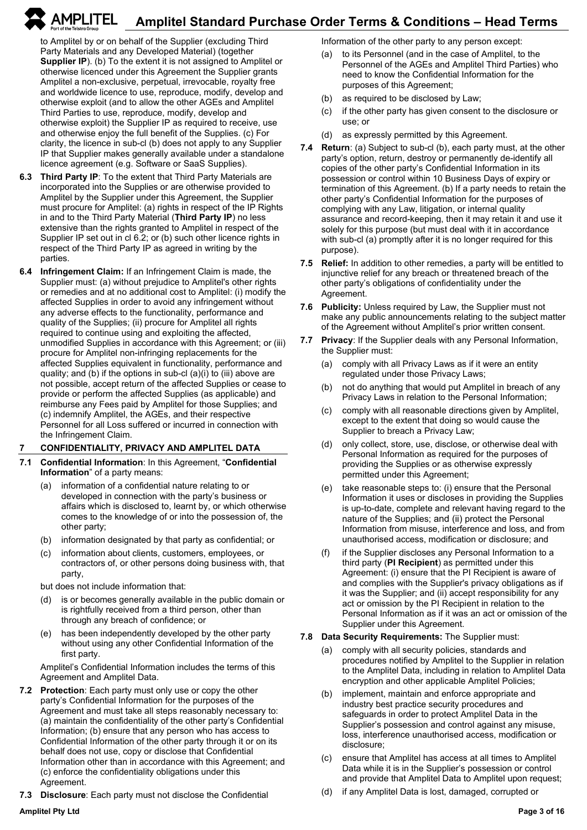to Amplitel by or on behalf of the Supplier (excluding Third Party Materials and any Developed Material) (together **Supplier IP**). (b) To the extent it is not assigned to Amplitel or otherwise licenced under this Agreement the Supplier grants Amplitel a non-exclusive, perpetual, irrevocable, royalty free and worldwide licence to use, reproduce, modify, develop and otherwise exploit (and to allow the other AGEs and Amplitel Third Parties to use, reproduce, modify, develop and otherwise exploit) the Supplier IP as required to receive, use and otherwise enjoy the full benefit of the Supplies. (c) For clarity, the licence in sub-cl (b) does not apply to any Supplier IP that Supplier makes generally available under a standalone licence agreement (e.g. Software or SaaS Supplies).

- <span id="page-2-3"></span>**6.3 Third Party IP**: To the extent that Third Party Materials are incorporated into the Supplies or are otherwise provided to Amplitel by the Supplier under this Agreement, the Supplier must procure for Amplitel: (a) rights in respect of the IP Rights in and to the Third Party Material (**Third Party IP**) no less extensive than the rights granted to Amplitel in respect of the Supplier IP set out in c[l 6.2;](#page-1-3) or (b) such other licence rights in respect of the Third Party IP as agreed in writing by the parties.
- **6.4 Infringement Claim:** If an Infringement Claim is made, the Supplier must: (a) without prejudice to Amplitel's other rights or remedies and at no additional cost to Amplitel: (i) modify the affected Supplies in order to avoid any infringement without any adverse effects to the functionality, performance and quality of the Supplies; (ii) procure for Amplitel all rights required to continue using and exploiting the affected, unmodified Supplies in accordance with this Agreement; or (iii) procure for Amplitel non-infringing replacements for the affected Supplies equivalent in functionality, performance and quality; and (b) if the options in sub-cl (a)(i) to (iii) above are not possible, accept return of the affected Supplies or cease to provide or perform the affected Supplies (as applicable) and reimburse any Fees paid by Amplitel for those Supplies; and (c) indemnify Amplitel, the AGEs, and their respective Personnel for all Loss suffered or incurred in connection with the Infringement Claim.

#### <span id="page-2-0"></span>**7 CONFIDENTIALITY, PRIVACY AND AMPLITEL DATA**

- <span id="page-2-1"></span>**7.1 Confidential Information**: In this Agreement, "**Confidential Information**" of a party means:
	- (a) information of a confidential nature relating to or developed in connection with the party's business or affairs which is disclosed to, learnt by, or which otherwise comes to the knowledge of or into the possession of, the other party;
	- (b) information designated by that party as confidential; or
	- (c) information about clients, customers, employees, or contractors of, or other persons doing business with, that party,

but does not include information that:

- (d) is or becomes generally available in the public domain or is rightfully received from a third person, other than through any breach of confidence; or
- (e) has been independently developed by the other party without using any other Confidential Information of the first party.

Amplitel's Confidential Information includes the terms of this Agreement and Amplitel Data.

- **7.2 Protection**: Each party must only use or copy the other party's Confidential Information for the purposes of the Agreement and must take all steps reasonably necessary to: (a) maintain the confidentiality of the other party's Confidential Information; (b) ensure that any person who has access to Confidential Information of the other party through it or on its behalf does not use, copy or disclose that Confidential Information other than in accordance with this Agreement; and (c) enforce the confidentiality obligations under this Agreement.
- **7.3 Disclosure**: Each party must not disclose the Confidential

#### **Amplitel Pty Ltd Page 3 of 16**

Information of the other party to any person except:

- (a) to its Personnel (and in the case of Amplitel, to the Personnel of the AGEs and Amplitel Third Parties) who need to know the Confidential Information for the purposes of this Agreement;
- (b) as required to be disclosed by Law;
- (c) if the other party has given consent to the disclosure or use; or
- (d) as expressly permitted by this Agreement.
- **7.4 Return**: (a) Subject to sub-cl (b), each party must, at the other party's option, return, destroy or permanently de-identify all copies of the other party's Confidential Information in its possession or control within 10 Business Days of expiry or termination of this Agreement. (b) If a party needs to retain the other party's Confidential Information for the purposes of complying with any Law, litigation, or internal quality assurance and record-keeping, then it may retain it and use it solely for this purpose (but must deal with it in accordance with sub-cl (a) promptly after it is no longer required for this purpose).
- **7.5 Relief:** In addition to other remedies, a party will be entitled to injunctive relief for any breach or threatened breach of the other party's obligations of confidentiality under the Agreement.
- **7.6 Publicity:** Unless required by Law, the Supplier must not make any public announcements relating to the subject matter of the Agreement without Amplitel's prior written consent.
- **7.7 Privacy**: If the Supplier deals with any Personal Information, the Supplier must:
	- (a) comply with all Privacy Laws as if it were an entity regulated under those Privacy Laws;
	- (b) not do anything that would put Amplitel in breach of any Privacy Laws in relation to the Personal Information;
	- (c) comply with all reasonable directions given by Amplitel, except to the extent that doing so would cause the Supplier to breach a Privacy Law;
	- (d) only collect, store, use, disclose, or otherwise deal with Personal Information as required for the purposes of providing the Supplies or as otherwise expressly permitted under this Agreement;
	- (e) take reasonable steps to: (i) ensure that the Personal Information it uses or discloses in providing the Supplies is up-to-date, complete and relevant having regard to the nature of the Supplies; and (ii) protect the Personal Information from misuse, interference and loss, and from unauthorised access, modification or disclosure; and
	- (f) if the Supplier discloses any Personal Information to a third party (**PI Recipient**) as permitted under this Agreement: (i) ensure that the PI Recipient is aware of and complies with the Supplier's privacy obligations as if it was the Supplier; and (ii) accept responsibility for any act or omission by the PI Recipient in relation to the Personal Information as if it was an act or omission of the Supplier under this Agreement.

#### <span id="page-2-4"></span><span id="page-2-2"></span>**7.8 Data Security Requirements:** The Supplier must:

- (a) comply with all security policies, standards and procedures notified by Amplitel to the Supplier in relation to the Amplitel Data, including in relation to Amplitel Data encryption and other applicable Amplitel Policies;
- (b) implement, maintain and enforce appropriate and industry best practice security procedures and safeguards in order to protect Amplitel Data in the Supplier's possession and control against any misuse, loss, interference unauthorised access, modification or disclosure;
- (c) ensure that Amplitel has access at all times to Amplitel Data while it is in the Supplier's possession or control and provide that Amplitel Data to Amplitel upon request;
- (d) if any Amplitel Data is lost, damaged, corrupted or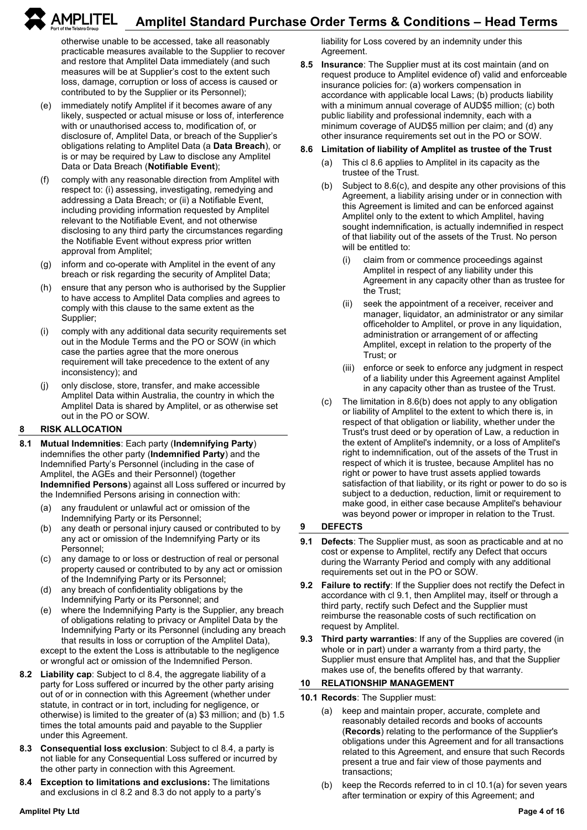otherwise unable to be accessed, take all reasonably practicable measures available to the Supplier to recover and restore that Amplitel Data immediately (and such measures will be at Supplier's cost to the extent such loss, damage, corruption or loss of access is caused or contributed to by the Supplier or its Personnel);

- <span id="page-3-12"></span>(e) immediately notify Amplitel if it becomes aware of any likely, suspected or actual misuse or loss of, interference with or unauthorised access to, modification of, or disclosure of, Amplitel Data, or breach of the Supplier's obligations relating to Amplitel Data (a **Data Breach**), or is or may be required by Law to disclose any Amplitel Data or Data Breach (**Notifiable Event**);
- (f) comply with any reasonable direction from Amplitel with respect to: (i) assessing, investigating, remedying and addressing a Data Breach; or (ii) a Notifiable Event, including providing information requested by Amplitel relevant to the Notifiable Event, and not otherwise disclosing to any third party the circumstances regarding the Notifiable Event without express prior written approval from Amplitel;
- (g) inform and co-operate with Amplitel in the event of any breach or risk regarding the security of Amplitel Data;
- (h) ensure that any person who is authorised by the Supplier to have access to Amplitel Data complies and agrees to comply with this clause to the same extent as the Supplier;
- (i) comply with any additional data security requirements set out in the Module Terms and the PO or SOW (in which case the parties agree that the more onerous requirement will take precedence to the extent of any inconsistency); and
- (j) only disclose, store, transfer, and make accessible Amplitel Data within Australia, the country in which the Amplitel Data is shared by Amplitel, or as otherwise set out in the PO or SOW.

## <span id="page-3-10"></span>**8 RISK ALLOCATION**

- <span id="page-3-13"></span>**8.1 Mutual Indemnities**: Each party (**Indemnifying Party**) indemnifies the other party (**Indemnified Party**) and the Indemnified Party's Personnel (including in the case of Amplitel, the AGEs and their Personnel) (together **Indemnified Persons**) against all Loss suffered or incurred by the Indemnified Persons arising in connection with:
	- (a) any fraudulent or unlawful act or omission of the Indemnifying Party or its Personnel;
	- (b) any death or personal injury caused or contributed to by any act or omission of the Indemnifying Party or its Personnel;
	- (c) any damage to or loss or destruction of real or personal property caused or contributed to by any act or omission of the Indemnifying Party or its Personnel;
	- (d) any breach of confidentiality obligations by the Indemnifying Party or its Personnel; and
	- (e) where the Indemnifying Party is the Supplier, any breach of obligations relating to privacy or Amplitel Data by the Indemnifying Party or its Personnel (including any breach that results in loss or corruption of the Amplitel Data), except to the extent the Loss is attributable to the negligence or wrongful act or omission of the Indemnified Person.
- <span id="page-3-1"></span>**8.2 Liability cap**: Subject to c[l 8.4,](#page-3-0) the aggregate liability of a party for Loss suffered or incurred by the other party arising out of or in connection with this Agreement (whether under statute, in contract or in tort, including for negligence, or otherwise) is limited to the greater of (a) \$3 million; and (b) 1.5 times the total amounts paid and payable to the Supplier under this Agreement.
- <span id="page-3-2"></span>**8.3 Consequential loss exclusion**: Subject to cl [8.4,](#page-3-0) a party is not liable for any Consequential Loss suffered or incurred by the other party in connection with this Agreement.
- **8.4 Exception to limitations and exclusions:** The limitations and exclusions in c[l 8.2](#page-3-1) and [8.3](#page-3-2) do not apply to a party's

<span id="page-3-0"></span>liability for Loss covered by an indemnity under this Agreement.

**8.5 Insurance**: The Supplier must at its cost maintain (and on request produce to Amplitel evidence of) valid and enforceable insurance policies for: (a) workers compensation in accordance with applicable local Laws; (b) products liability with a minimum annual coverage of AUD\$5 million; (c) both public liability and professional indemnity, each with a minimum coverage of AUD\$5 million per claim; and (d) any other insurance requirements set out in the PO or SOW.

## <span id="page-3-3"></span>**8.6 Limitation of liability of Amplitel as trustee of the Trust**

- (a) This cl [8.6](#page-3-3) applies to Amplitel in its capacity as the trustee of the Trust.
- <span id="page-3-5"></span>(b) Subject to [8.6\(c\),](#page-3-4) and despite any other provisions of this Agreement, a liability arising under or in connection with this Agreement is limited and can be enforced against Amplitel only to the extent to which Amplitel, having sought indemnification, is actually indemnified in respect of that liability out of the assets of the Trust. No person will be entitled to:
	- claim from or commence proceedings against Amplitel in respect of any liability under this Agreement in any capacity other than as trustee for the Trust;
	- (ii) seek the appointment of a receiver, receiver and manager, liquidator, an administrator or any similar officeholder to Amplitel, or prove in any liquidation, administration or arrangement of or affecting Amplitel, except in relation to the property of the Trust; or
	- (iii) enforce or seek to enforce any judgment in respect of a liability under this Agreement against Amplitel in any capacity other than as trustee of the Trust.
- <span id="page-3-4"></span>(c) The limitation in [8.6\(b\)](#page-3-5) does not apply to any obligation or liability of Amplitel to the extent to which there is, in respect of that obligation or liability, whether under the Trust's trust deed or by operation of Law, a reduction in the extent of Amplitel's indemnity, or a loss of Amplitel's right to indemnification, out of the assets of the Trust in respect of which it is trustee, because Amplitel has no right or power to have trust assets applied towards satisfaction of that liability, or its right or power to do so is subject to a deduction, reduction, limit or requirement to make good, in either case because Amplitel's behaviour was beyond power or improper in relation to the Trust.

## <span id="page-3-8"></span>**9 DEFECTS**

- <span id="page-3-6"></span>**9.1 Defects**: The Supplier must, as soon as practicable and at no cost or expense to Amplitel, rectify any Defect that occurs during the Warranty Period and comply with any additional requirements set out in the PO or SOW.
- **9.2 Failure to rectify**: If the Supplier does not rectify the Defect in accordance with c[l 9.1,](#page-3-6) then Amplitel may, itself or through a third party, rectify such Defect and the Supplier must reimburse the reasonable costs of such rectification on request by Amplitel.
- **9.3 Third party warranties**: If any of the Supplies are covered (in whole or in part) under a warranty from a third party, the Supplier must ensure that Amplitel has, and that the Supplier makes use of, the benefits offered by that warranty.

## <span id="page-3-9"></span>**10 RELATIONSHIP MANAGEMENT**

<span id="page-3-11"></span><span id="page-3-7"></span>**10.1 Records**: The Supplier must:

- (a) keep and maintain proper, accurate, complete and reasonably detailed records and books of accounts (**Records**) relating to the performance of the Supplier's obligations under this Agreement and for all transactions related to this Agreement, and ensure that such Records present a true and fair view of those payments and transactions;
- (b) keep the Records referred to in cl [10.1\(a\)](#page-3-7) for seven years after termination or expiry of this Agreement; and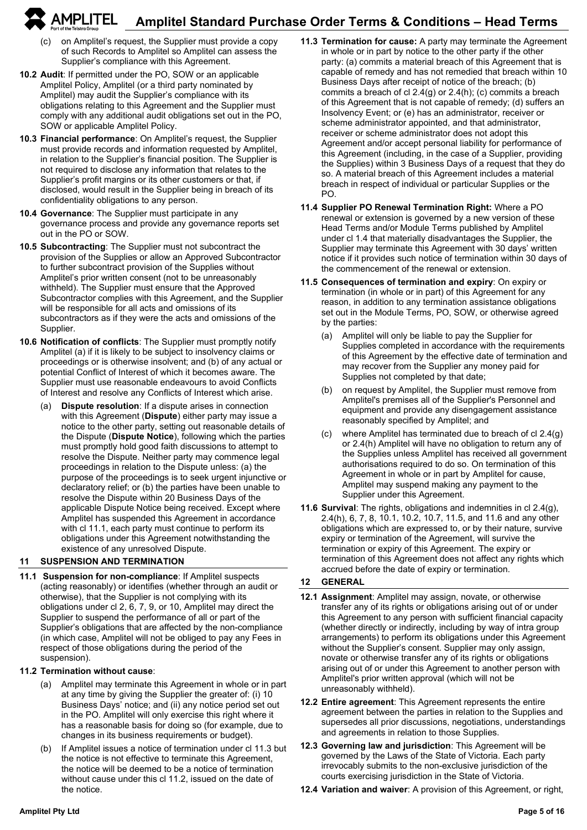- on Amplitel's request, the Supplier must provide a copy of such Records to Amplitel so Amplitel can assess the Supplier's compliance with this Agreement.
- <span id="page-4-0"></span>**10.2 Audit**: If permitted under the PO, SOW or an applicable Amplitel Policy, Amplitel (or a third party nominated by Amplitel) may audit the Supplier's compliance with its obligations relating to this Agreement and the Supplier must comply with any additional audit obligations set out in the PO, SOW or applicable Amplitel Policy.
- **10.3 Financial performance**: On Amplitel's request, the Supplier must provide records and information requested by Amplitel, in relation to the Supplier's financial position. The Supplier is not required to disclose any information that relates to the Supplier's profit margins or its other customers or that, if disclosed, would result in the Supplier being in breach of its confidentiality obligations to any person.
- **10.4 Governance**: The Supplier must participate in any governance process and provide any governance reports set out in the PO or SOW.
- **10.5 Subcontracting**: The Supplier must not subcontract the provision of the Supplies or allow an Approved Subcontractor to further subcontract provision of the Supplies without Amplitel's prior written consent (not to be unreasonably withheld). The Supplier must ensure that the Approved Subcontractor complies with this Agreement, and the Supplier will be responsible for all acts and omissions of its subcontractors as if they were the acts and omissions of the Supplier.
- <span id="page-4-4"></span>**10.6 Notification of conflicts**: The Supplier must promptly notify Amplitel (a) if it is likely to be subject to insolvency claims or proceedings or is otherwise insolvent; and (b) of any actual or potential Conflict of Interest of which it becomes aware. The Supplier must use reasonable endeavours to avoid Conflicts of Interest and resolve any Conflicts of Interest which arise.
	- **Dispute resolution:** If a dispute arises in connection with this Agreement (**Dispute**) either party may issue a notice to the other party, setting out reasonable details of the Dispute (**Dispute Notice**), following which the parties must promptly hold good faith discussions to attempt to resolve the Dispute. Neither party may commence legal proceedings in relation to the Dispute unless: (a) the purpose of the proceedings is to seek urgent injunctive or declaratory relief; or (b) the parties have been unable to resolve the Dispute within 20 Business Days of the applicable Dispute Notice being received. Except where Amplitel has suspended this Agreement in accordance with cl [11.1,](#page-4-1) each party must continue to perform its obligations under this Agreement notwithstanding the existence of any unresolved Dispute.

# **11 SUSPENSION AND TERMINATION**

- <span id="page-4-1"></span>**11.1 Suspension for non-compliance**: If Amplitel suspects (acting reasonably) or identifies (whether through an audit or otherwise), that the Supplier is not complying with its obligations under cl [2,](#page-0-1) [6,](#page-1-4) [7,](#page-2-0) [9,](#page-3-8) o[r 10,](#page-3-9) Amplitel may direct the Supplier to suspend the performance of all or part of the Supplier's obligations that are affected by the non-compliance (in which case, Amplitel will not be obliged to pay any Fees in respect of those obligations during the period of the suspension).
- <span id="page-4-3"></span>**11.2 Termination without cause**:
	- (a) Amplitel may terminate this Agreement in whole or in part at any time by giving the Supplier the greater of: (i) 10 Business Days' notice; and (ii) any notice period set out in the PO. Amplitel will only exercise this right where it has a reasonable basis for doing so (for example, due to changes in its business requirements or budget).
	- (b) If Amplitel issues a notice of termination under cl [11.3](#page-4-2) but the notice is not effective to terminate this Agreement, the notice will be deemed to be a notice of termination without cause under this cl [11.2,](#page-4-3) issued on the date of the notice.
- <span id="page-4-2"></span>**11.3 Termination for cause:** A party may terminate the Agreement in whole or in part by notice to the other party if the other party: (a) commits a material breach of this Agreement that is capable of remedy and has not remedied that breach within 10 Business Days after receipt of notice of the breach; (b) commits a breach of c[l 2.4\(g\)](#page-0-2) or [2.4\(h\);](#page-0-3) (c) commits a breach of this Agreement that is not capable of remedy; (d) suffers an Insolvency Event; or (e) has an administrator, receiver or scheme administrator appointed, and that administrator, receiver or scheme administrator does not adopt this Agreement and/or accept personal liability for performance of this Agreement (including, in the case of a Supplier, providing the Supplies) within 3 Business Days of a request that they do so. A material breach of this Agreement includes a material breach in respect of individual or particular Supplies or the PO.
- **11.4 Supplier PO Renewal Termination Right:** Where a PO renewal or extension is governed by a new version of these Head Terms and/or Module Terms published by Amplitel under c[l 1.4](#page-0-4) that materially disadvantages the Supplier, the Supplier may terminate this Agreement with 30 days' written notice if it provides such notice of termination within 30 days of the commencement of the renewal or extension.
- <span id="page-4-5"></span>**11.5 Consequences of termination and expiry**: On expiry or termination (in whole or in part) of this Agreement for any reason, in addition to any termination assistance obligations set out in the Module Terms, PO, SOW, or otherwise agreed by the parties:
	- (a) Amplitel will only be liable to pay the Supplier for Supplies completed in accordance with the requirements of this Agreement by the effective date of termination and may recover from the Supplier any money paid for Supplies not completed by that date;
	- (b) on request by Amplitel, the Supplier must remove from Amplitel's premises all of the Supplier's Personnel and equipment and provide any disengagement assistance reasonably specified by Amplitel; and
	- (c) where Amplitel has terminated due to breach of c[l 2.4\(g\)](#page-0-2) or [2.4\(h\)](#page-0-3) Amplitel will have no obligation to return any of the Supplies unless Amplitel has received all government authorisations required to do so. On termination of this Agreement in whole or in part by Amplitel for cause, Amplitel may suspend making any payment to the Supplier under this Agreement.
- <span id="page-4-6"></span>**11.6 Survival**: The rights, obligations and indemnities in c[l 2.4\(g\),](#page-0-2) [2.4\(h\),](#page-0-3) [6,](#page-1-4) [7,](#page-2-0) [8,](#page-3-10) [10.1,](#page-3-11) [10.2,](#page-4-0) [10.7,](#page-4-4) [11.5,](#page-4-5) and [11.6](#page-4-6) and any other obligations which are expressed to, or by their nature, survive expiry or termination of the Agreement, will survive the termination or expiry of this Agreement. The expiry or termination of this Agreement does not affect any rights which accrued before the date of expiry or termination.
- **12 GENERAL**
- **12.1 Assignment**: Amplitel may assign, novate, or otherwise transfer any of its rights or obligations arising out of or under this Agreement to any person with sufficient financial capacity (whether directly or indirectly, including by way of intra group arrangements) to perform its obligations under this Agreement without the Supplier's consent. Supplier may only assign, novate or otherwise transfer any of its rights or obligations arising out of or under this Agreement to another person with Amplitel's prior written approval (which will not be unreasonably withheld).
- **12.2 Entire agreement**: This Agreement represents the entire agreement between the parties in relation to the Supplies and supersedes all prior discussions, negotiations, understandings and agreements in relation to those Supplies.
- **12.3 Governing law and jurisdiction**: This Agreement will be governed by the Laws of the State of Victoria. Each party irrevocably submits to the non-exclusive jurisdiction of the courts exercising jurisdiction in the State of Victoria.
- **12.4 Variation and waiver**: A provision of this Agreement, or right,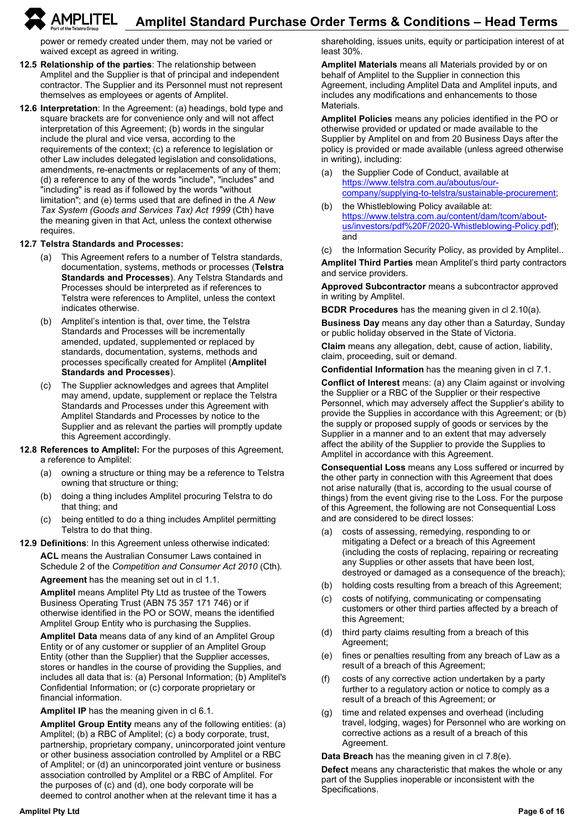power or remedy created under them, may not be varied or waived except as agreed in writing.

- **12.5 Relationship of the parties**: The relationship between Amplitel and the Supplier is that of principal and independent contractor. The Supplier and its Personnel must not represent themselves as employees or agents of Amplitel.
- **12.6 Interpretation**: In the Agreement: (a) headings, bold type and square brackets are for convenience only and will not affect interpretation of this Agreement; (b) words in the singular include the plural and vice versa, according to the requirements of the context; (c) a reference to legislation or other Law includes delegated legislation and consolidations, amendments, re-enactments or replacements of any of them; (d) a reference to any of the words "include", "includes" and "including" is read as if followed by the words "without limitation"; and (e) terms used that are defined in the *A New Tax System (Goods and Services Tax) Act 1999* (Cth) have the meaning given in that Act, unless the context otherwise requires.

#### **12.7 Telstra Standards and Processes:**

- (a) This Agreement refers to a number of Telstra standards, documentation, systems, methods or processes (**Telstra Standards and Processes**). Any Telstra Standards and Processes should be interpreted as if references to Telstra were references to Amplitel, unless the context indicates otherwise.
- (b) Amplitel's intention is that, over time, the Telstra Standards and Processes will be incrementally amended, updated, supplemented or replaced by standards, documentation, systems, methods and processes specifically created for Amplitel (**Amplitel Standards and Processes**).
- (c) The Supplier acknowledges and agrees that Amplitel may amend, update, supplement or replace the Telstra Standards and Processes under this Agreement with Amplitel Standards and Processes by notice to the Supplier and as relevant the parties will promptly update this Agreement accordingly.
- **12.8 References to Amplitel:** For the purposes of this Agreement, a reference to Amplitel:
	- (a) owning a structure or thing may be a reference to Telstra owning that structure or thing;
	- (b) doing a thing includes Amplitel procuring Telstra to do that thing; and
	- (c) being entitled to do a thing includes Amplitel permitting Telstra to do that thing.
- **12.9 Definitions**: In this Agreement unless otherwise indicated:

**ACL** means the Australian Consumer Laws contained in Schedule 2 of the *Competition and Consumer Act 2010* (Cth).

**Agreement** has the meaning set out in c[l 1.1.](#page-0-5)

**Amplitel** means Amplitel Pty Ltd as trustee of the Towers Business Operating Trust (ABN 75 357 171 746) or if otherwise identified in the PO or SOW, means the identified Amplitel Group Entity who is purchasing the Supplies.

**Amplitel Data** means data of any kind of an Amplitel Group Entity or of any customer or supplier of an Amplitel Group Entity (other than the Supplier) that the Supplier accesses, stores or handles in the course of providing the Supplies, and includes all data that is: (a) Personal Information; (b) Amplitel's Confidential Information; or (c) corporate proprietary or financial information.

**Amplitel IP** has the meaning given in c[l 6.1.](#page-1-5)

**Amplitel Group Entity** means any of the following entities: (a) Amplitel; (b) a RBC of Amplitel; (c) a body corporate, trust, partnership, proprietary company, unincorporated joint venture or other business association controlled by Amplitel or a RBC of Amplitel; or (d) an unincorporated joint venture or business association controlled by Amplitel or a RBC of Amplitel. For the purposes of (c) and (d), one body corporate will be deemed to control another when at the relevant time it has a

shareholding, issues units, equity or participation interest of at least 30%.

**Amplitel Materials** means all Materials provided by or on behalf of Amplitel to the Supplier in connection this Agreement, including Amplitel Data and Amplitel inputs, and includes any modifications and enhancements to those Materials.

**Amplitel Policies** means any policies identified in the PO or otherwise provided or updated or made available to the Supplier by Amplitel on and from 20 Business Days after the policy is provided or made available (unless agreed otherwise in writing), including:

- (a) the Supplier Code of Conduct, available at [https://www.telstra.com.au/aboutus/our](https://www.telstra.com.au/aboutus/our-company/supplying-to-telstra/sustainable-procurement)[company/supplying-to-telstra/sustainable-procurement;](https://www.telstra.com.au/aboutus/our-company/supplying-to-telstra/sustainable-procurement)
- (b) the Whistleblowing Policy available at: [https://www.telstra.com.au/content/dam/tcom/about](https://www.telstra.com.au/content/dam/tcom/about-us/investors/pdf%20F/2020-Whistleblowing-Policy.pdf)[us/investors/pdf%20F/2020-Whistleblowing-Policy.pdf\)](https://www.telstra.com.au/content/dam/tcom/about-us/investors/pdf%20F/2020-Whistleblowing-Policy.pdf); and
- (c) the Information Security Policy, as provided by Amplitel..

**Amplitel Third Parties** mean Amplitel's third party contractors and service providers.

**Approved Subcontractor** means a subcontractor approved in writing by Amplitel.

**BCDR Procedures** has the meaning given in cl [2.10\(a\).](#page-1-6)

**Business Day** means any day other than a Saturday, Sunday or public holiday observed in the State of Victoria.

**Claim** means any allegation, debt, cause of action, liability, claim, proceeding, suit or demand.

**Confidential Information** has the meaning given in cl [7.1.](#page-2-1)

**Conflict of Interest** means: (a) any Claim against or involving the Supplier or a RBC of the Supplier or their respective Personnel, which may adversely affect the Supplier's ability to provide the Supplies in accordance with this Agreement; or (b) the supply or proposed supply of goods or services by the Supplier in a manner and to an extent that may adversely affect the ability of the Supplier to provide the Supplies to Amplitel in accordance with this Agreement.

**Consequential Loss** means any Loss suffered or incurred by the other party in connection with this Agreement that does not arise naturally (that is, according to the usual course of things) from the event giving rise to the Loss. For the purpose of this Agreement, the following are not Consequential Loss and are considered to be direct losses:

- (a) costs of assessing, remedying, responding to or mitigating a Defect or a breach of this Agreement (including the costs of replacing, repairing or recreating any Supplies or other assets that have been lost, destroyed or damaged as a consequence of the breach);
- (b) holding costs resulting from a breach of this Agreement;
- (c) costs of notifying, communicating or compensating customers or other third parties affected by a breach of this Agreement;
- (d) third party claims resulting from a breach of this Agreement;
- (e) fines or penalties resulting from any breach of Law as a result of a breach of this Agreement;
- (f) costs of any corrective action undertaken by a party further to a regulatory action or notice to comply as a result of a breach of this Agreement; or
- (g) time and related expenses and overhead (including travel, lodging, wages) for Personnel who are working on corrective actions as a result of a breach of this Agreement.

**Data Breach** has the meaning given in c[l 7.8\(e\).](#page-3-12)

**Defect** means any characteristic that makes the whole or any part of the Supplies inoperable or inconsistent with the Specifications.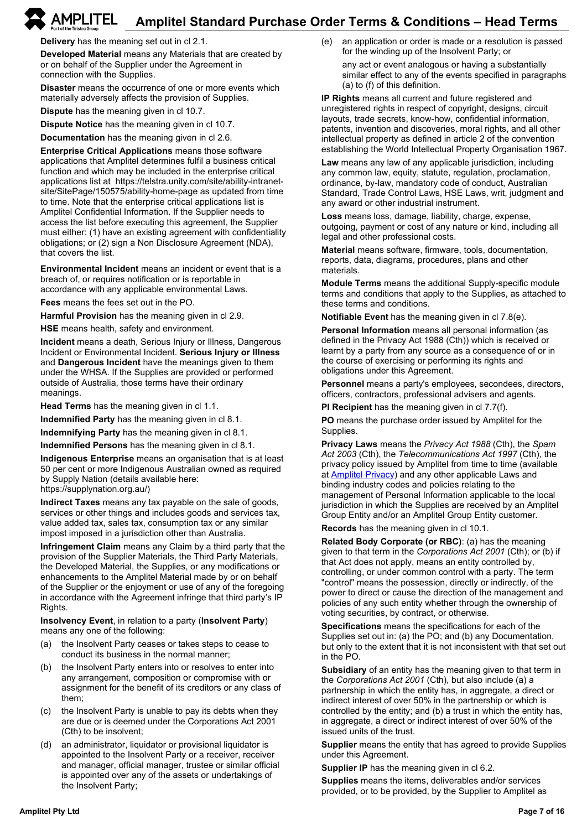**Delivery** has the meaning set out in c[l 2.1.](#page-0-6)

**Developed Material** means any Materials that are created by or on behalf of the Supplier under the Agreement in connection with the Supplies.

**Disaster** means the occurrence of one or more events which materially adversely affects the provision of Supplies.

**Dispute** has the meaning given in cl [10.7.](#page-4-4)

**Dispute Notice** has the meaning given in cl [10.7.](#page-4-4)

**Documentation** has the meaning given in c[l 2.6.](#page-0-7)

**Enterprise Critical Applications** means those software applications that Amplitel determines fulfil a business critical function and which may be included in the enterprise critical applications list at https://telstra.unity.com/site/ability-intranetsite/SitePage/150575/ability-home-page as updated from time to time. Note that the enterprise critical applications list is Amplitel Confidential Information. If the Supplier needs to access the list before executing this agreement, the Supplier must either: (1) have an existing agreement with confidentiality obligations; or (2) sign a Non Disclosure Agreement (NDA), that covers the list.

**Environmental Incident** means an incident or event that is a breach of, or requires notification or is reportable in accordance with any applicable environmental Laws.

**Fees** means the fees set out in the PO.

**Harmful Provision** has the meaning given in c[l 2.9.](#page-0-8)

**HSE** means health, safety and environment.

**Incident** means a death, Serious Injury or Illness, Dangerous Incident or Environmental Incident. **Serious Injury or Illness**  and **Dangerous Incident** have the meanings given to them under the WHSA. If the Supplies are provided or performed outside of Australia, those terms have their ordinary meanings.

**Head Terms** has the meaning given in c[l 1.1.](#page-0-5)

**Indemnified Party** has the meaning given in c[l 8.1.](#page-3-13)

**Indemnifying Party** has the meaning given in cl [8.1.](#page-3-13)

**Indemnified Persons** has the meaning given in c[l 8.1.](#page-3-13)

**Indigenous Enterprise** means an organisation that is at least 50 per cent or more Indigenous Australian owned as required by Supply Nation (details available here: https://supplynation.org.au/)

**Indirect Taxes** means any tax payable on the sale of goods, services or other things and includes goods and services tax, value added tax, sales tax, consumption tax or any similar impost imposed in a jurisdiction other than Australia.

**Infringement Claim** means any Claim by a third party that the provision of the Supplier Materials, the Third Party Materials, the Developed Material, the Supplies, or any modifications or enhancements to the Amplitel Material made by or on behalf of the Supplier or the enjoyment or use of any of the foregoing in accordance with the Agreement infringe that third party's IP Rights.

**Insolvency Event**, in relation to a party (**Insolvent Party**) means any one of the following:

- (a) the Insolvent Party ceases or takes steps to cease to conduct its business in the normal manner;
- (b) the Insolvent Party enters into or resolves to enter into any arrangement, composition or compromise with or assignment for the benefit of its creditors or any class of them;
- (c) the Insolvent Party is unable to pay its debts when they are due or is deemed under the Corporations Act 2001 (Cth) to be insolvent;
- (d) an administrator, liquidator or provisional liquidator is appointed to the Insolvent Party or a receiver, receiver and manager, official manager, trustee or similar official is appointed over any of the assets or undertakings of the Insolvent Party;

(e) an application or order is made or a resolution is passed for the winding up of the Insolvent Party; or

any act or event analogous or having a substantially similar effect to any of the events specified in paragraphs (a) to (f) of this definition.

**IP Rights** means all current and future registered and unregistered rights in respect of copyright, designs, circuit layouts, trade secrets, know-how, confidential information, patents, invention and discoveries, moral rights, and all other intellectual property as defined in article 2 of the convention establishing the World Intellectual Property Organisation 1967.

**Law** means any law of any applicable jurisdiction, including any common law, equity, statute, regulation, proclamation, ordinance, by-law, mandatory code of conduct, Australian Standard, Trade Control Laws, HSE Laws, writ, judgment and any award or other industrial instrument.

**Loss** means loss, damage, liability, charge, expense, outgoing, payment or cost of any nature or kind, including all legal and other professional costs.

**Material** means software, firmware, tools, documentation, reports, data, diagrams, procedures, plans and other materials.

**Module Terms** means the additional Supply-specific module terms and conditions that apply to the Supplies, as attached to these terms and conditions.

**Notifiable Event** has the meaning given in cl [7.8\(e\).](#page-3-12)

**Personal Information** means all personal information (as defined in the Privacy Act 1988 (Cth)) which is received or learnt by a party from any source as a consequence of or in the course of exercising or performing its rights and obligations under this Agreement.

**Personnel** means a party's employees, secondees, directors, officers, contractors, professional advisers and agents.

**PI Recipient** has the meaning given in c[l 7.7\(f\).](#page-2-2)

**PO** means the purchase order issued by Amplitel for the Supplies.

**Privacy Laws** means the *Privacy Act 1988* (Cth), the *Spam Act 2003* (Cth), the *Telecommunications Act 1997* (Cth), the privacy policy issued by Amplitel from time to time (available at **Amplitel Privacy**) and any other applicable Laws and binding industry codes and policies relating to the management of Personal Information applicable to the local jurisdiction in which the Supplies are received by an Amplitel Group Entity and/or an Amplitel Group Entity customer.

**Records** has the meaning given in cl [10.1.](#page-3-11)

**Related Body Corporate (or RBC)**: (a) has the meaning given to that term in the *Corporations Act 2001* (Cth); or (b) if that Act does not apply, means an entity controlled by, controlling, or under common control with a party. The term "control" means the possession, directly or indirectly, of the power to direct or cause the direction of the management and policies of any such entity whether through the ownership of voting securities, by contract, or otherwise.

**Specifications** means the specifications for each of the Supplies set out in: (a) the PO; and (b) any Documentation, but only to the extent that it is not inconsistent with that set out in the PO.

**Subsidiary** of an entity has the meaning given to that term in the *Corporations Act 2001* (Cth), but also include (a) a partnership in which the entity has, in aggregate, a direct or indirect interest of over 50% in the partnership or which is controlled by the entity; and (b) a trust in which the entity has, in aggregate, a direct or indirect interest of over 50% of the issued units of the trust.

**Supplier** means the entity that has agreed to provide Supplies under this Agreement.

**Supplier IP** has the meaning given in cl [6.2.](#page-1-3)

**Supplies** means the items, deliverables and/or services provided, or to be provided, by the Supplier to Amplitel as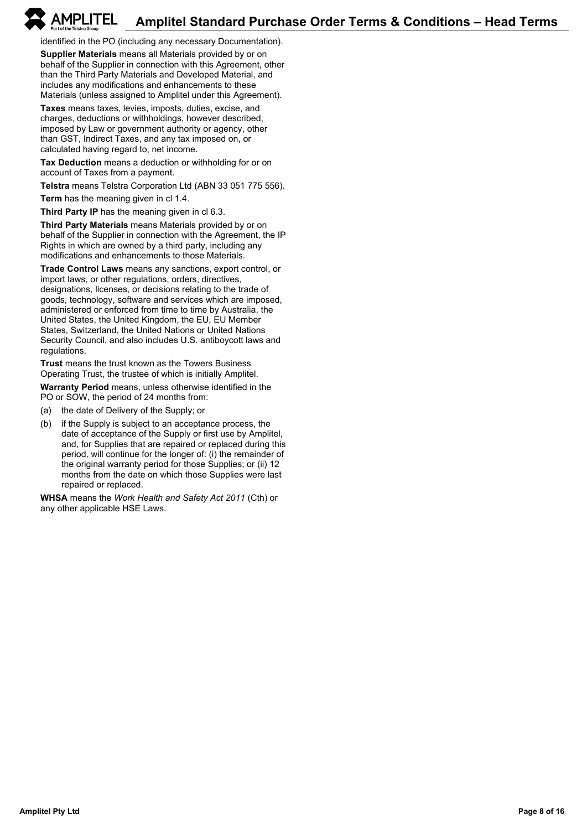

identified in the PO (including any necessary Documentation).

**Supplier Materials** means all Materials provided by or on behalf of the Supplier in connection with this Agreement, other than the Third Party Materials and Developed Material, and includes any modifications and enhancements to these Materials (unless assigned to Amplitel under this Agreement).

**Taxes** means taxes, levies, imposts, duties, excise, and charges, deductions or withholdings, however described, imposed by Law or government authority or agency, other than GST, Indirect Taxes, and any tax imposed on, or calculated having regard to, net income.

**Tax Deduction** means a deduction or withholding for or on account of Taxes from a payment.

**Telstra** means Telstra Corporation Ltd (ABN 33 051 775 556).

**Term** has the meaning given in cl [1.4.](#page-0-4)

**Third Party IP** has the meaning given in c[l 6.3.](#page-2-3)

**Third Party Materials** means Materials provided by or on behalf of the Supplier in connection with the Agreement, the IP Rights in which are owned by a third party, including any modifications and enhancements to those Materials.

**Trade Control Laws** means any sanctions, export control, or import laws, or other regulations, orders, directives, designations, licenses, or decisions relating to the trade of goods, technology, software and services which are imposed, administered or enforced from time to time by Australia, the United States, the United Kingdom, the EU, EU Member States, Switzerland, the United Nations or United Nations Security Council, and also includes U.S. antiboycott laws and regulations.

**Trust** means the trust known as the Towers Business Operating Trust, the trustee of which is initially Amplitel.

**Warranty Period** means, unless otherwise identified in the PO or SOW, the period of 24 months from:

- (a) the date of Delivery of the Supply; or
- (b) if the Supply is subject to an acceptance process, the date of acceptance of the Supply or first use by Amplitel, and, for Supplies that are repaired or replaced during this period, will continue for the longer of: (i) the remainder of the original warranty period for those Supplies; or (ii) 12 months from the date on which those Supplies were last repaired or replaced.

**WHSA** means the *Work Health and Safety Act 2011* (Cth) or any other applicable HSE Laws.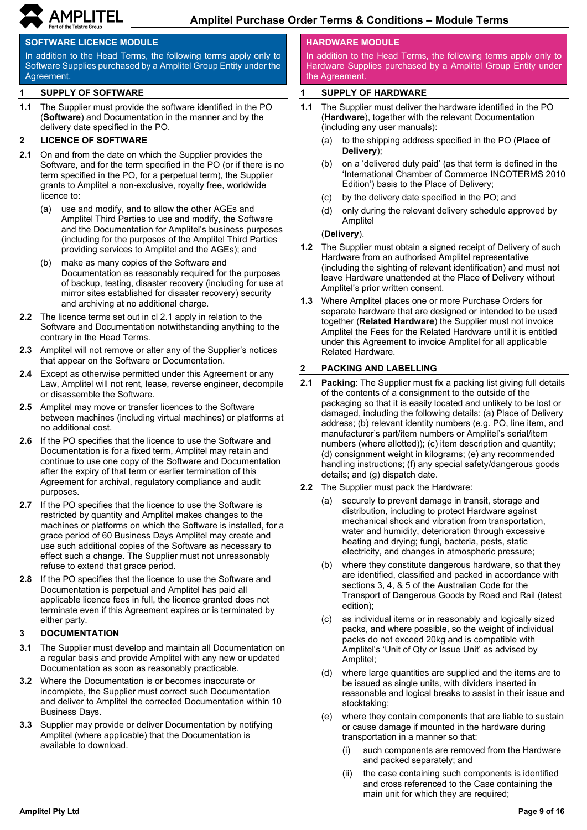

## **SOFTWARE LICENCE MODULE**

In addition to the Head Terms, the following terms apply only to Software Supplies purchased by a Amplitel Group Entity under the Agreement.

## **1 SUPPLY OF SOFTWARE**

**1.1** The Supplier must provide the software identified in the PO (**Software**) and Documentation in the manner and by the delivery date specified in the PO.

## **2 LICENCE OF SOFTWARE**

- <span id="page-8-0"></span>**2.1** On and from the date on which the Supplier provides the Software, and for the term specified in the PO (or if there is no term specified in the PO, for a perpetual term), the Supplier grants to Amplitel a non-exclusive, royalty free, worldwide licence to:
	- (a) use and modify, and to allow the other AGEs and Amplitel Third Parties to use and modify, the Software and the Documentation for Amplitel's business purposes (including for the purposes of the Amplitel Third Parties providing services to Amplitel and the AGEs); and
	- (b) make as many copies of the Software and Documentation as reasonably required for the purposes of backup, testing, disaster recovery (including for use at mirror sites established for disaster recovery) security and archiving at no additional charge.
- **2.2** The licence terms set out in c[l 2.1](#page-8-0) apply in relation to the Software and Documentation notwithstanding anything to the contrary in the Head Terms.
- **2.3** Amplitel will not remove or alter any of the Supplier's notices that appear on the Software or Documentation.
- **2.4** Except as otherwise permitted under this Agreement or any Law, Amplitel will not rent, lease, reverse engineer, decompile or disassemble the Software.
- **2.5** Amplitel may move or transfer licences to the Software between machines (including virtual machines) or platforms at no additional cost.
- **2.6** If the PO specifies that the licence to use the Software and Documentation is for a fixed term, Amplitel may retain and continue to use one copy of the Software and Documentation after the expiry of that term or earlier termination of this Agreement for archival, regulatory compliance and audit purposes.
- **2.7** If the PO specifies that the licence to use the Software is restricted by quantity and Amplitel makes changes to the machines or platforms on which the Software is installed, for a grace period of 60 Business Days Amplitel may create and use such additional copies of the Software as necessary to effect such a change. The Supplier must not unreasonably refuse to extend that grace period.
- **2.8** If the PO specifies that the licence to use the Software and Documentation is perpetual and Amplitel has paid all applicable licence fees in full, the licence granted does not terminate even if this Agreement expires or is terminated by either party.

## **3 DOCUMENTATION**

- **3.1** The Supplier must develop and maintain all Documentation on a regular basis and provide Amplitel with any new or updated Documentation as soon as reasonably practicable.
- **3.2** Where the Documentation is or becomes inaccurate or incomplete, the Supplier must correct such Documentation and deliver to Amplitel the corrected Documentation within 10 Business Days.
- **3.3** Supplier may provide or deliver Documentation by notifying Amplitel (where applicable) that the Documentation is available to download.

#### **HARDWARE MODULE**

In addition to the Head Terms, the following terms apply only to Hardware Supplies purchased by a Amplitel Group Entity under the Agreement.

#### **1 SUPPLY OF HARDWARE**

- **1.1** The Supplier must deliver the hardware identified in the PO (**Hardware**), together with the relevant Documentation (including any user manuals):
	- (a) to the shipping address specified in the PO (**Place of Delivery**);
	- (b) on a 'delivered duty paid' (as that term is defined in the 'International Chamber of Commerce INCOTERMS 2010 Edition') basis to the Place of Delivery;
	- (c) by the delivery date specified in the PO; and
	- (d) only during the relevant delivery schedule approved by Amplitel

#### (**Delivery**).

- **1.2** The Supplier must obtain a signed receipt of Delivery of such Hardware from an authorised Amplitel representative (including the sighting of relevant identification) and must not leave Hardware unattended at the Place of Delivery without Amplitel's prior written consent.
- **1.3** Where Amplitel places one or more Purchase Orders for separate hardware that are designed or intended to be used together (**Related Hardware**) the Supplier must not invoice Amplitel the Fees for the Related Hardware until it is entitled under this Agreement to invoice Amplitel for all applicable Related Hardware.

#### **2 PACKING AND LABELLING**

- **2.1 Packing**: The Supplier must fix a packing list giving full details of the contents of a consignment to the outside of the packaging so that it is easily located and unlikely to be lost or damaged, including the following details: (a) Place of Delivery address; (b) relevant identity numbers (e.g. PO, line item, and manufacturer's part/item numbers or Amplitel's serial/item numbers (where allotted)); (c) item description and quantity; (d) consignment weight in kilograms; (e) any recommended handling instructions; (f) any special safety/dangerous goods details; and (g) dispatch date.
- **2.2** The Supplier must pack the Hardware:
	- (a) securely to prevent damage in transit, storage and distribution, including to protect Hardware against mechanical shock and vibration from transportation, water and humidity, deterioration through excessive heating and drying; fungi, bacteria, pests, static electricity, and changes in atmospheric pressure;
	- (b) where they constitute dangerous hardware, so that they are identified, classified and packed in accordance with sections 3, 4, & 5 of the Australian Code for the Transport of Dangerous Goods by Road and Rail (latest edition);
	- (c) as individual items or in reasonably and logically sized packs, and where possible, so the weight of individual packs do not exceed 20kg and is compatible with Amplitel's 'Unit of Qty or Issue Unit' as advised by Amplitel;
	- (d) where large quantities are supplied and the items are to be issued as single units, with dividers inserted in reasonable and logical breaks to assist in their issue and stocktaking;
	- (e) where they contain components that are liable to sustain or cause damage if mounted in the hardware during transportation in a manner so that:
		- (i) such components are removed from the Hardware and packed separately; and
		- (ii) the case containing such components is identified and cross referenced to the Case containing the main unit for which they are required;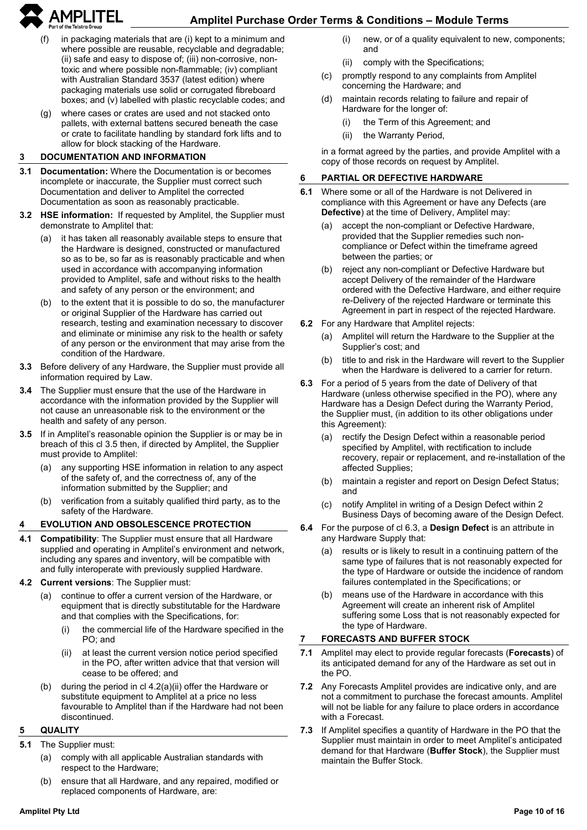- in packaging materials that are (i) kept to a minimum and where possible are reusable, recyclable and degradable; (ii) safe and easy to dispose of; (iii) non-corrosive, nontoxic and where possible non-flammable; (iv) compliant with Australian Standard 3537 (latest edition) where packaging materials use solid or corrugated fibreboard boxes; and (v) labelled with plastic recyclable codes; and
- (g) where cases or crates are used and not stacked onto pallets, with external battens secured beneath the case or crate to facilitate handling by standard fork lifts and to allow for block stacking of the Hardware.

#### **3 DOCUMENTATION AND INFORMATION**

**AMPLITEL** 

- **3.1 Documentation:** Where the Documentation is or becomes incomplete or inaccurate, the Supplier must correct such Documentation and deliver to Amplitel the corrected Documentation as soon as reasonably practicable.
- **3.2 HSE information:** If requested by Amplitel, the Supplier must demonstrate to Amplitel that:
	- (a) it has taken all reasonably available steps to ensure that the Hardware is designed, constructed or manufactured so as to be, so far as is reasonably practicable and when used in accordance with accompanying information provided to Amplitel, safe and without risks to the health and safety of any person or the environment; and
	- (b) to the extent that it is possible to do so, the manufacturer or original Supplier of the Hardware has carried out research, testing and examination necessary to discover and eliminate or minimise any risk to the health or safety of any person or the environment that may arise from the condition of the Hardware.
- **3.3** Before delivery of any Hardware, the Supplier must provide all information required by Law.
- **3.4** The Supplier must ensure that the use of the Hardware in accordance with the information provided by the Supplier will not cause an unreasonable risk to the environment or the health and safety of any person.
- <span id="page-9-0"></span>**3.5** If in Amplitel's reasonable opinion the Supplier is or may be in breach of this c[l 3.5](#page-9-0) then, if directed by Amplitel, the Supplier must provide to Amplitel:
	- (a) any supporting HSE information in relation to any aspect of the safety of, and the correctness of, any of the information submitted by the Supplier; and
	- (b) verification from a suitably qualified third party, as to the safety of the Hardware.

#### **4 EVOLUTION AND OBSOLESCENCE PROTECTION**

**4.1 Compatibility**: The Supplier must ensure that all Hardware supplied and operating in Amplitel's environment and network, including any spares and inventory, will be compatible with and fully interoperate with previously supplied Hardware.

#### <span id="page-9-1"></span>**4.2 Current versions**: The Supplier must:

- (a) continue to offer a current version of the Hardware, or equipment that is directly substitutable for the Hardware and that complies with the Specifications, for:
	- the commercial life of the Hardware specified in the PO; and
	- (ii) at least the current version notice period specified in the PO, after written advice that that version will cease to be offered; and
- <span id="page-9-2"></span>(b) during the period in cl [4.2](#page-9-1)[\(a\)\(ii\)](#page-9-2) offer the Hardware or substitute equipment to Amplitel at a price no less favourable to Amplitel than if the Hardware had not been discontinued.

#### **5 QUALITY**

#### **5.1** The Supplier must:

- (a) comply with all applicable Australian standards with respect to the Hardware;
- (b) ensure that all Hardware, and any repaired, modified or replaced components of Hardware, are:
- (i) new, or of a quality equivalent to new, components; and
- (ii) comply with the Specifications;
- (c) promptly respond to any complaints from Amplitel concerning the Hardware; and
- (d) maintain records relating to failure and repair of Hardware for the longer of:
	- (i) the Term of this Agreement; and
	- (ii) the Warranty Period,

in a format agreed by the parties, and provide Amplitel with a copy of those records on request by Amplitel.

#### **6 PARTIAL OR DEFECTIVE HARDWARE**

- **6.1** Where some or all of the Hardware is not Delivered in compliance with this Agreement or have any Defects (are **Defective**) at the time of Delivery, Amplitel may:
	- accept the non-compliant or Defective Hardware, provided that the Supplier remedies such noncompliance or Defect within the timeframe agreed between the parties; or
	- (b) reject any non-compliant or Defective Hardware but accept Delivery of the remainder of the Hardware ordered with the Defective Hardware, and either require re-Delivery of the rejected Hardware or terminate this Agreement in part in respect of the rejected Hardware.
- **6.2** For any Hardware that Amplitel rejects:
	- (a) Amplitel will return the Hardware to the Supplier at the Supplier's cost; and
	- (b) title to and risk in the Hardware will revert to the Supplier when the Hardware is delivered to a carrier for return.
- <span id="page-9-3"></span>**6.3** For a period of 5 years from the date of Delivery of that Hardware (unless otherwise specified in the PO), where any Hardware has a Design Defect during the Warranty Period, the Supplier must, (in addition to its other obligations under this Agreement):
	- (a) rectify the Design Defect within a reasonable period specified by Amplitel, with rectification to include recovery, repair or replacement, and re-installation of the affected Supplies;
	- (b) maintain a register and report on Design Defect Status; and
	- (c) notify Amplitel in writing of a Design Defect within 2 Business Days of becoming aware of the Design Defect.
- **6.4** For the purpose of cl [6.3,](#page-9-3) a **Design Defect** is an attribute in any Hardware Supply that:
	- (a) results or is likely to result in a continuing pattern of the same type of failures that is not reasonably expected for the type of Hardware or outside the incidence of random failures contemplated in the Specifications; or
	- (b) means use of the Hardware in accordance with this Agreement will create an inherent risk of Amplitel suffering some Loss that is not reasonably expected for the type of Hardware.

#### **7 FORECASTS AND BUFFER STOCK**

- **7.1** Amplitel may elect to provide regular forecasts (**Forecasts**) of its anticipated demand for any of the Hardware as set out in the PO.
- **7.2** Any Forecasts Amplitel provides are indicative only, and are not a commitment to purchase the forecast amounts. Amplitel will not be liable for any failure to place orders in accordance with a Forecast.
- **7.3** If Amplitel specifies a quantity of Hardware in the PO that the Supplier must maintain in order to meet Amplitel's anticipated demand for that Hardware (**Buffer Stock**), the Supplier must maintain the Buffer Stock.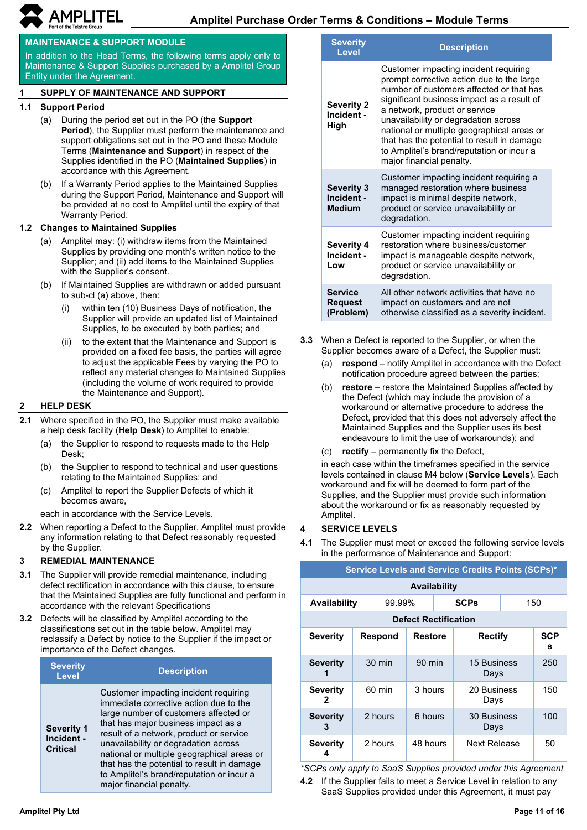## **MAINTENANCE & SUPPORT MODULE**

AMPLITEI

In addition to the Head Terms, the following terms apply only to Maintenance & Support Supplies purchased by a Amplitel Group Entity under the Agreement.

## **1 SUPPLY OF MAINTENANCE AND SUPPORT**

#### **1.1 Support Period**

- (a) During the period set out in the PO (the **Support Period**), the Supplier must perform the maintenance and support obligations set out in the PO and these Module Terms (**Maintenance and Support**) in respect of the Supplies identified in the PO (**Maintained Supplies**) in accordance with this Agreement.
- (b) If a Warranty Period applies to the Maintained Supplies during the Support Period, Maintenance and Support will be provided at no cost to Amplitel until the expiry of that Warranty Period.

#### <span id="page-10-0"></span>**1.2 Changes to Maintained Supplies**

- (a) Amplitel may: (i) withdraw items from the Maintained Supplies by providing one month's written notice to the Supplier; and (ii) add items to the Maintained Supplies with the Supplier's consent.
- (b) If Maintained Supplies are withdrawn or added pursuant to sub-cl [\(a\)](#page-10-0) above, then:
	- (i) within ten (10) Business Days of notification, the Supplier will provide an updated list of Maintained Supplies, to be executed by both parties; and
	- (ii) to the extent that the Maintenance and Support is provided on a fixed fee basis, the parties will agree to adjust the applicable Fees by varying the PO to reflect any material changes to Maintained Supplies (including the volume of work required to provide the Maintenance and Support).

#### **2 HELP DESK**

- **2.1** Where specified in the PO, the Supplier must make available a help desk facility (**Help Desk**) to Amplitel to enable:
	- (a) the Supplier to respond to requests made to the Help Desk;
	- (b) the Supplier to respond to technical and user questions relating to the Maintained Supplies; and
	- (c) Amplitel to report the Supplier Defects of which it becomes aware,

each in accordance with the Service Levels.

**2.2** When reporting a Defect to the Supplier, Amplitel must provide any information relating to that Defect reasonably requested by the Supplier.

#### **3 REMEDIAL MAINTENANCE**

- **3.1** The Supplier will provide remedial maintenance, including defect rectification in accordance with this clause, to ensure that the Maintained Supplies are fully functional and perform in accordance with the relevant Specifications
- **3.2** Defects will be classified by Amplitel according to the classifications set out in the table below. Amplitel may reclassify a Defect by notice to the Supplier if the impact or importance of the Defect changes.

| <b>Severity</b><br><b>Level</b>                    | <b>Description</b>                                                                                                                                                                                                                                                                                                                                                                                                      |  |  |
|----------------------------------------------------|-------------------------------------------------------------------------------------------------------------------------------------------------------------------------------------------------------------------------------------------------------------------------------------------------------------------------------------------------------------------------------------------------------------------------|--|--|
| <b>Severity 1</b><br>Incident -<br><b>Critical</b> | Customer impacting incident requiring<br>immediate corrective action due to the<br>large number of customers affected or<br>that has major business impact as a<br>result of a network, product or service<br>unavailability or degradation across<br>national or multiple geographical areas or<br>that has the potential to result in damage<br>to Amplitel's brand/reputation or incur a<br>major financial penalty. |  |  |

| <b>Severity</b><br><b>Level</b>                  | <b>Description</b>                                                                                                                                                                                                                                                                                                                                                                                                         |  |  |  |
|--------------------------------------------------|----------------------------------------------------------------------------------------------------------------------------------------------------------------------------------------------------------------------------------------------------------------------------------------------------------------------------------------------------------------------------------------------------------------------------|--|--|--|
| <b>Severity 2</b><br>Incident -<br>High          | Customer impacting incident requiring<br>prompt corrective action due to the large<br>number of customers affected or that has<br>significant business impact as a result of<br>a network, product or service<br>unavailability or degradation across<br>national or multiple geographical areas or<br>that has the potential to result in damage<br>to Amplitel's brand/reputation or incur a<br>major financial penalty. |  |  |  |
| <b>Severity 3</b><br>Incident -<br><b>Medium</b> | Customer impacting incident requiring a<br>managed restoration where business<br>impact is minimal despite network,<br>product or service unavailability or<br>degradation.                                                                                                                                                                                                                                                |  |  |  |
| <b>Severity 4</b><br>Incident -<br>Low           | Customer impacting incident requiring<br>restoration where business/customer<br>impact is manageable despite network,<br>product or service unavailability or<br>degradation.                                                                                                                                                                                                                                              |  |  |  |
| <b>Service</b><br>Request<br>(Problem)           | All other network activities that have no<br>impact on customers and are not<br>otherwise classified as a severity incident.                                                                                                                                                                                                                                                                                               |  |  |  |

- **3.3** When a Defect is reported to the Supplier, or when the Supplier becomes aware of a Defect, the Supplier must:
	- (a) **respond** notify Amplitel in accordance with the Defect notification procedure agreed between the parties;
	- (b) **restore** restore the Maintained Supplies affected by the Defect (which may include the provision of a workaround or alternative procedure to address the Defect, provided that this does not adversely affect the Maintained Supplies and the Supplier uses its best endeavours to limit the use of workarounds); and
	- (c) **rectify** permanently fix the Defect,

in each case within the timeframes specified in the service levels contained in clause M4 below (**Service Levels**). Each workaround and fix will be deemed to form part of the Supplies, and the Supplier must provide such information about the workaround or fix as reasonably requested by Amplitel.

## **4 SERVICE LEVELS**

**4.1** The Supplier must meet or exceed the following service levels in the performance of Maintenance and Support:

| Service Levels and Service Credits Points (SCPs)* |                  |          |  |                     |     |                 |  |  |  |
|---------------------------------------------------|------------------|----------|--|---------------------|-----|-----------------|--|--|--|
| Availability                                      |                  |          |  |                     |     |                 |  |  |  |
| Availability                                      |                  | 99.99%   |  | <b>SCPs</b>         | 150 |                 |  |  |  |
| <b>Defect Rectification</b>                       |                  |          |  |                     |     |                 |  |  |  |
| <b>Severity</b>                                   | Respond          | Restore  |  | Rectify             |     | <b>SCP</b><br>s |  |  |  |
| <b>Severity</b>                                   | $30 \text{ min}$ | $90$ min |  | 15 Business<br>Days |     | 250             |  |  |  |
| <b>Severity</b><br>2                              | 60 min           | 3 hours  |  | 20 Business<br>Days |     | 150             |  |  |  |
| <b>Severity</b><br>з                              | 2 hours          | 6 hours  |  | 30 Business<br>Days |     | 100             |  |  |  |
| <b>Severity</b><br>4                              | 2 hours          | 48 hours |  | Next Release        |     | 50              |  |  |  |

*\*SCPs only apply to SaaS Supplies provided under this Agreement*

**4.2** If the Supplier fails to meet a Service Level in relation to any SaaS Supplies provided under this Agreement, it must pay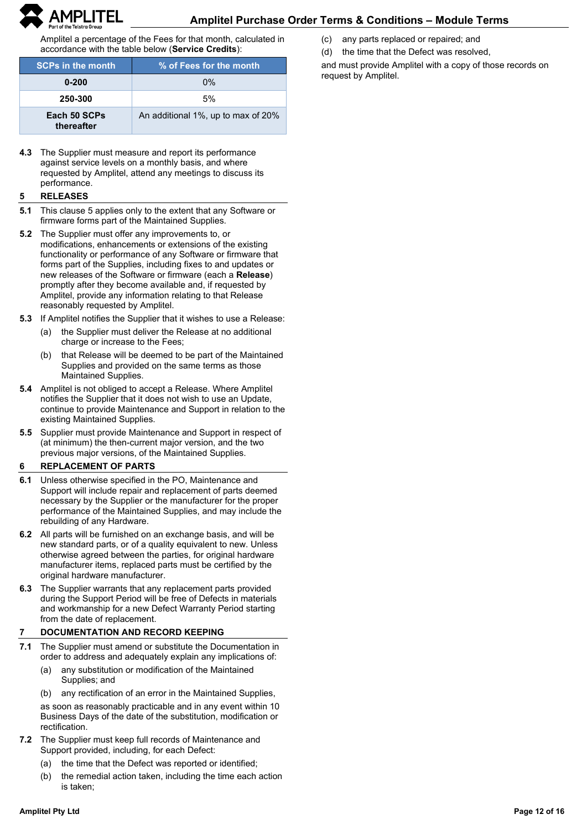

Amplitel a percentage of the Fees for that month, calculated in accordance with the table below (**Service Credits**):

| <b>SCPs in the month</b>   | % of Fees for the month            |  |  |  |
|----------------------------|------------------------------------|--|--|--|
| $0 - 200$                  | $0\%$                              |  |  |  |
| 250-300                    | 5%                                 |  |  |  |
| Each 50 SCPs<br>thereafter | An additional 1%, up to max of 20% |  |  |  |

**4.3** The Supplier must measure and report its performance against service levels on a monthly basis, and where requested by Amplitel, attend any meetings to discuss its performance.

## <span id="page-11-0"></span>**5 RELEASES**

- **5.1** This clause [5](#page-11-0) applies only to the extent that any Software or firmware forms part of the Maintained Supplies.
- **5.2** The Supplier must offer any improvements to, or modifications, enhancements or extensions of the existing functionality or performance of any Software or firmware that forms part of the Supplies, including fixes to and updates or new releases of the Software or firmware (each a **Release**) promptly after they become available and, if requested by Amplitel, provide any information relating to that Release reasonably requested by Amplitel.
- **5.3** If Amplitel notifies the Supplier that it wishes to use a Release:
	- (a) the Supplier must deliver the Release at no additional charge or increase to the Fees;
	- (b) that Release will be deemed to be part of the Maintained Supplies and provided on the same terms as those Maintained Supplies.
- **5.4** Amplitel is not obliged to accept a Release. Where Amplitel notifies the Supplier that it does not wish to use an Update, continue to provide Maintenance and Support in relation to the existing Maintained Supplies.
- **5.5** Supplier must provide Maintenance and Support in respect of (at minimum) the then-current major version, and the two previous major versions, of the Maintained Supplies.

#### **6 REPLACEMENT OF PARTS**

- **6.1** Unless otherwise specified in the PO, Maintenance and Support will include repair and replacement of parts deemed necessary by the Supplier or the manufacturer for the proper performance of the Maintained Supplies, and may include the rebuilding of any Hardware.
- **6.2** All parts will be furnished on an exchange basis, and will be new standard parts, or of a quality equivalent to new. Unless otherwise agreed between the parties, for original hardware manufacturer items, replaced parts must be certified by the original hardware manufacturer.
- **6.3** The Supplier warrants that any replacement parts provided during the Support Period will be free of Defects in materials and workmanship for a new Defect Warranty Period starting from the date of replacement.

#### **7 DOCUMENTATION AND RECORD KEEPING**

- **7.1** The Supplier must amend or substitute the Documentation in order to address and adequately explain any implications of:
	- (a) any substitution or modification of the Maintained Supplies; and
	- (b) any rectification of an error in the Maintained Supplies,

as soon as reasonably practicable and in any event within 10 Business Days of the date of the substitution, modification or rectification.

- **7.2** The Supplier must keep full records of Maintenance and Support provided, including, for each Defect:
	- (a) the time that the Defect was reported or identified;
	- (b) the remedial action taken, including the time each action is taken;
- (c) any parts replaced or repaired; and
- (d) the time that the Defect was resolved,

and must provide Amplitel with a copy of those records on request by Amplitel.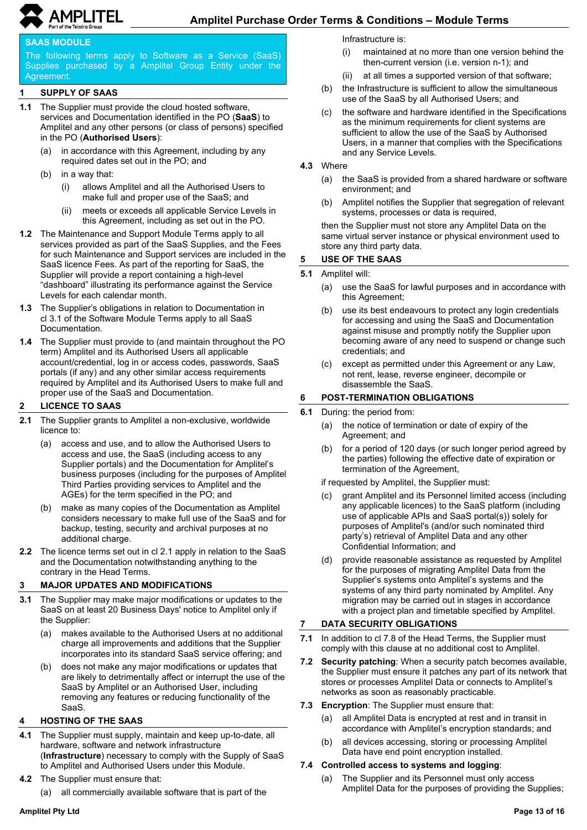

#### **SAAS MODULE**

The following terms apply to Software as a Service (SaaS) Supplies purchased by a Amplitel Group Entity under the **Agreement** 

## **1 SUPPLY OF SAAS**

- **1.1** The Supplier must provide the cloud hosted software, services and Documentation identified in the PO (**SaaS**) to Amplitel and any other persons (or class of persons) specified in the PO (**Authorised Users**):
	- (a) in accordance with this Agreement, including by any required dates set out in the PO; and
	- (b) in a way that:
		- (i) allows Amplitel and all the Authorised Users to make full and proper use of the SaaS; and
		- (ii) meets or exceeds all applicable Service Levels in this Agreement, including as set out in the PO.
- **1.2** The Maintenance and Support Module Terms apply to all services provided as part of the SaaS Supplies, and the Fees for such Maintenance and Support services are included in the SaaS licence Fees. As part of the reporting for SaaS, the Supplier will provide a report containing a high-level "dashboard" illustrating its performance against the Service Levels for each calendar month.
- **1.3** The Supplier's obligations in relation to Documentation in cl 3.1 of the Software Module Terms apply to all SaaS Documentation.
- **1.4** The Supplier must provide to (and maintain throughout the PO term) Amplitel and its Authorised Users all applicable account/credential, log in or access codes, passwords, SaaS portals (if any) and any other similar access requirements required by Amplitel and its Authorised Users to make full and proper use of the SaaS and Documentation.

## **2 LICENCE TO SAAS**

- <span id="page-12-0"></span>**2.1** The Supplier grants to Amplitel a non-exclusive, worldwide licence to:
	- (a) access and use, and to allow the Authorised Users to access and use, the SaaS (including access to any Supplier portals) and the Documentation for Amplitel's business purposes (including for the purposes of Amplitel Third Parties providing services to Amplitel and the AGEs) for the term specified in the PO; and
	- (b) make as many copies of the Documentation as Amplitel considers necessary to make full use of the SaaS and for backup, testing, security and archival purposes at no additional charge.
- **2.2** The licence terms set out in c[l 2.1](#page-12-0) apply in relation to the SaaS and the Documentation notwithstanding anything to the contrary in the Head Terms.

## **3 MAJOR UPDATES AND MODIFICATIONS**

- **3.1** The Supplier may make major modifications or updates to the SaaS on at least 20 Business Days' notice to Amplitel only if the Supplier:
	- (a) makes available to the Authorised Users at no additional charge all improvements and additions that the Supplier incorporates into its standard SaaS service offering; and
	- (b) does not make any major modifications or updates that are likely to detrimentally affect or interrupt the use of the SaaS by Amplitel or an Authorised User, including removing any features or reducing functionality of the SaaS.

## **4 HOSTING OF THE SAAS**

- **4.1** The Supplier must supply, maintain and keep up-to-date, all hardware, software and network infrastructure (**Infrastructure**) necessary to comply with the Supply of SaaS to Amplitel and Authorised Users under this Module.
- **4.2** The Supplier must ensure that: (a) all commercially available software that is part of the
- **Amplitel Pty Ltd Page 13 of 16**

Infrastructure is:

- (i) maintained at no more than one version behind the then-current version (i.e. version n-1); and
- (ii) at all times a supported version of that software;
- (b) the Infrastructure is sufficient to allow the simultaneous use of the SaaS by all Authorised Users; and
- (c) the software and hardware identified in the Specifications as the minimum requirements for client systems are sufficient to allow the use of the SaaS by Authorised Users, in a manner that complies with the Specifications and any Service Levels.
- **4.3** Where
	- (a) the SaaS is provided from a shared hardware or software environment; and
	- (b) Amplitel notifies the Supplier that segregation of relevant systems, processes or data is required,

then the Supplier must not store any Amplitel Data on the same virtual server instance or physical environment used to store any third party data.

#### **5 USE OF THE SAAS**

- **5.1** Amplitel will:
	- (a) use the SaaS for lawful purposes and in accordance with this Agreement;
	- (b) use its best endeavours to protect any login credentials for accessing and using the SaaS and Documentation against misuse and promptly notify the Supplier upon becoming aware of any need to suspend or change such credentials; and
	- (c) except as permitted under this Agreement or any Law, not rent, lease, reverse engineer, decompile or disassemble the SaaS.

## **6 POST-TERMINATION OBLIGATIONS**

- **6.1** During: the period from:
	- (a) the notice of termination or date of expiry of the Agreement; and
	- (b) for a period of 120 days (or such longer period agreed by the parties) following the effective date of expiration or termination of the Agreement,

if requested by Amplitel, the Supplier must:

- (c) grant Amplitel and its Personnel limited access (including any applicable licences) to the SaaS platform (including use of applicable APIs and SaaS portal(s)) solely for purposes of Amplitel's (and/or such nominated third party's) retrieval of Amplitel Data and any other Confidential Information; and
- (d) provide reasonable assistance as requested by Amplitel for the purposes of migrating Amplitel Data from the Supplier's systems onto Amplitel's systems and the systems of any third party nominated by Amplitel. Any migration may be carried out in stages in accordance with a project plan and timetable specified by Amplitel.

#### **7 DATA SECURITY OBLIGATIONS**

- **7.1** In addition to cl [7.8](#page-2-4) of the Head Terms, the Supplier must comply with this clause at no additional cost to Amplitel.
- **7.2 Security patching**: When a security patch becomes available, the Supplier must ensure it patches any part of its network that stores or processes Amplitel Data or connects to Amplitel's networks as soon as reasonably practicable.
- **7.3 Encryption**: The Supplier must ensure that:
	- (a) all Amplitel Data is encrypted at rest and in transit in accordance with Amplitel's encryption standards; and
	- (b) all devices accessing, storing or processing Amplitel Data have end point encryption installed.

#### **7.4 Controlled access to systems and logging**:

(a) The Supplier and its Personnel must only access Amplitel Data for the purposes of providing the Supplies;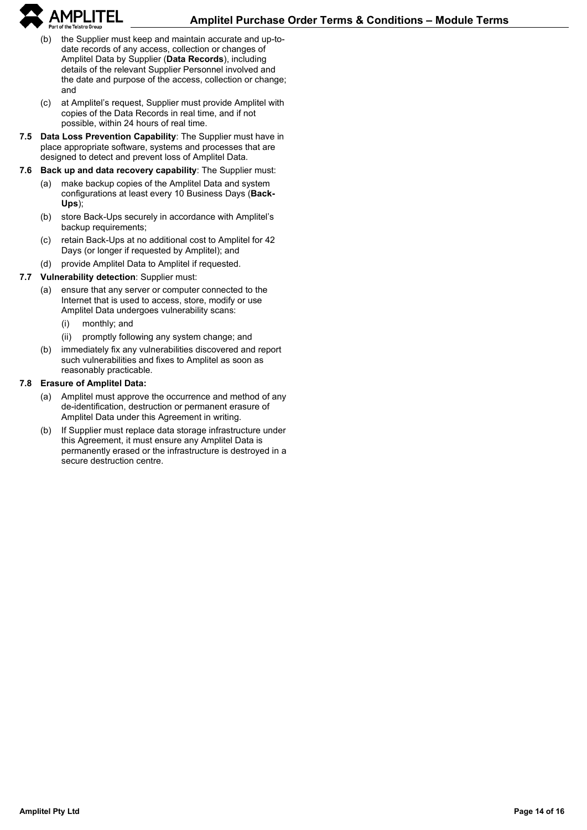

- (b) the Supplier must keep and maintain accurate and up-todate records of any access, collection or changes of Amplitel Data by Supplier (**Data Records**), including details of the relevant Supplier Personnel involved and the date and purpose of the access, collection or change; and
- (c) at Amplitel's request, Supplier must provide Amplitel with copies of the Data Records in real time, and if not possible, within 24 hours of real time.
- **7.5 Data Loss Prevention Capability**: The Supplier must have in place appropriate software, systems and processes that are designed to detect and prevent loss of Amplitel Data.
- **7.6 Back up and data recovery capability**: The Supplier must:
	- (a) make backup copies of the Amplitel Data and system configurations at least every 10 Business Days (**Back-Ups**);
	- (b) store Back-Ups securely in accordance with Amplitel's backup requirements;
	- (c) retain Back-Ups at no additional cost to Amplitel for 42 Days (or longer if requested by Amplitel); and
	- (d) provide Amplitel Data to Amplitel if requested.

## **7.7 Vulnerability detection**: Supplier must:

- (a) ensure that any server or computer connected to the Internet that is used to access, store, modify or use Amplitel Data undergoes vulnerability scans:
	- (i) monthly; and
	- (ii) promptly following any system change; and
- (b) immediately fix any vulnerabilities discovered and report such vulnerabilities and fixes to Amplitel as soon as reasonably practicable.

## **7.8 Erasure of Amplitel Data:**

- (a) Amplitel must approve the occurrence and method of any de-identification, destruction or permanent erasure of Amplitel Data under this Agreement in writing.
- (b) If Supplier must replace data storage infrastructure under this Agreement, it must ensure any Amplitel Data is permanently erased or the infrastructure is destroyed in a secure destruction centre.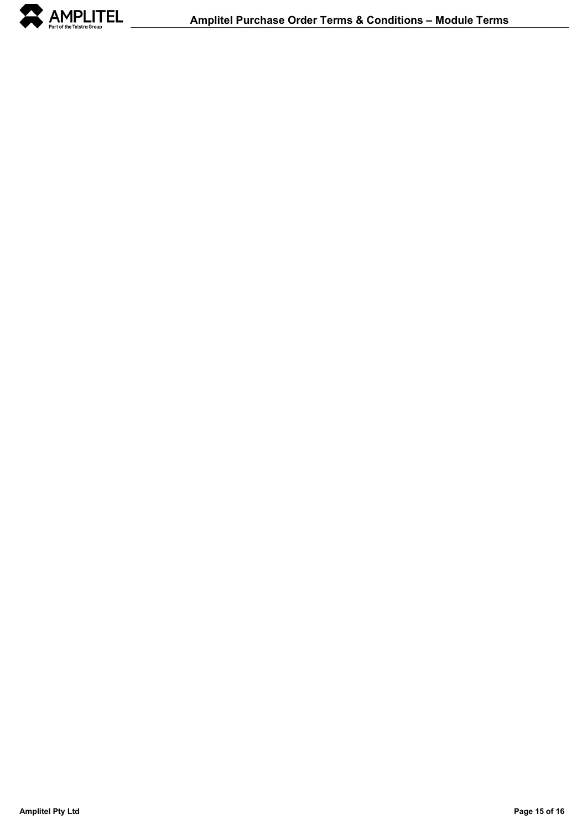